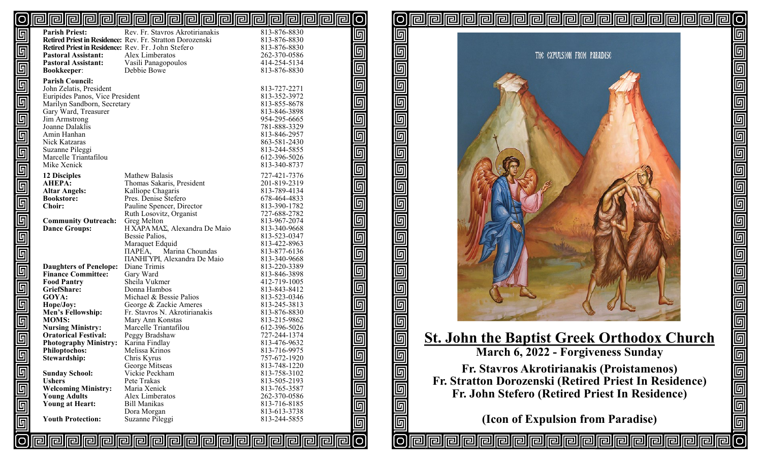#### <u>pipipipipipipipipipipipipipipipipi</u>  $\lceil$ O [O

| $\overline{\mathbb{E}}$ | <b>Parish Priest:</b>                              | Rev. Fr. Stavros Akrotirianakis                           | 813-876-8830 |
|-------------------------|----------------------------------------------------|-----------------------------------------------------------|--------------|
|                         |                                                    | Retired Priest in Residence: Rev. Fr. Stratton Dorozenski | 813-876-8830 |
| $\overline{\mathbb{F}}$ | Retired Priest in Residence: Rev. Fr. John Stefero |                                                           | 813-876-8830 |
|                         | <b>Pastoral Assistant:</b>                         | Alex Limberatos                                           | 262-370-0586 |
| $\overline{\mathbb{F}}$ | <b>Pastoral Assistant:</b>                         | Vasili Panagopoulos                                       | 414-254-5134 |
|                         | <b>Bookkeeper:</b>                                 | Debbie Bowe                                               | 813-876-8830 |
|                         | <b>Parish Council:</b>                             |                                                           |              |
|                         | John Zelatis, President                            |                                                           | 813-727-2271 |
|                         | Euripides Panos, Vice President                    |                                                           | 813-352-3972 |
|                         | Marilyn Sandborn, Secretary                        |                                                           | 813-855-8678 |
|                         |                                                    |                                                           |              |
|                         | Gary Ward, Treasurer                               |                                                           | 813-846-3898 |
|                         | Jim Armstrong                                      |                                                           | 954-295-6665 |
|                         | Joanne Dalaklis                                    |                                                           | 781-888-3329 |
|                         | Amin Hanhan                                        |                                                           | 813-846-2957 |
|                         | Nick Katzaras                                      |                                                           | 863-581-2430 |
|                         | Suzanne Pileggi                                    |                                                           | 813-244-5855 |
|                         | Marcelle Triantafilou                              |                                                           | 612-396-5026 |
|                         | Mike Xenick                                        |                                                           | 813-340-8737 |
| alala a ang a           | <b>12 Disciples</b>                                | Mathew Balasis                                            | 727-421-7376 |
|                         | <b>AHEPA:</b>                                      | Thomas Sakaris, President                                 | 201-819-2319 |
|                         | <b>Altar Angels:</b>                               | Kalliope Chagaris                                         | 813-789-4134 |
|                         | <b>Bookstore:</b>                                  | Pres. Denise Stefero                                      | 678-464-4833 |
|                         | <b>Choir:</b>                                      | Pauline Spencer, Director                                 | 813-390-1782 |
|                         |                                                    | Ruth Losovitz, Organist                                   | 727-688-2782 |
|                         | <b>Community Outreach:</b>                         | Greg Melton                                               | 813-967-2074 |
|                         | <b>Dance Groups:</b>                               | H XAPA MAΣ, Alexandra De Maio                             | 813-340-9668 |
| $\overline{\mathbb{F}}$ |                                                    | Bessie Palios,                                            | 813-523-0347 |
|                         |                                                    | Maraquet Edquid                                           | 813-422-8963 |
| 同                       |                                                    | Marina Choundas<br>ПАРЕА,                                 | 813-877-6136 |
|                         |                                                    | <b>ΠΑΝΗΓΥΡΙ, Alexandra De Maio</b>                        | 813-340-9668 |
|                         | <b>Daughters of Penelope:</b>                      | Diane Trimis                                              | 813-220-3389 |
|                         | <b>Finance Committee:</b>                          | Gary Ward                                                 | 813-846-3898 |
|                         | <b>Food Pantry</b>                                 | Sheila Vukmer                                             | 412-719-1005 |
|                         | GriefShare:                                        | Donna Hambos                                              | 813-843-8412 |
|                         | GOYA:                                              | Michael & Bessie Palios                                   | 813-523-0346 |
|                         | Hope/Joy:                                          | George & Zackie Ameres                                    | 813-245-3813 |
|                         | Men's Fellowship:                                  | Fr. Stavros N. Akrotirianakis                             | 813-876-8830 |
|                         | <b>MOMS:</b>                                       | Mary Ann Konstas                                          | 813-215-9862 |
|                         | <b>Nursing Ministry:</b>                           | Marcelle Triantafilou                                     | 612-396-5026 |
|                         | <b>Oratorical Festival:</b>                        | Peggy Bradshaw                                            | 727-244-1374 |
|                         | <b>Photography Ministry:</b>                       | Karina Findlay                                            | 813-476-9632 |
|                         | <b>Philoptochos:</b>                               | Melissa Krinos                                            | 813-716-9975 |
| $\overline{\mathbb{F}}$ | Stewardship:                                       | Chris Kyrus                                               | 757-672-1920 |
|                         |                                                    | George Mitseas                                            | 813-748-1220 |
|                         | <b>Sunday School:</b>                              | Vickie Peckham                                            | 813-758-3102 |
|                         | <b>Ushers</b>                                      | Pete Trakas                                               | 813-505-2193 |
|                         | <b>Welcoming Ministry:</b>                         | Maria Xenick                                              | 813-765-3587 |
|                         | <b>Young Adults</b>                                | Alex Limberatos                                           | 262-370-0586 |
|                         | <b>Young at Heart:</b>                             | <b>Bill Manikas</b>                                       | 813-716-8185 |
|                         |                                                    | Dora Morgan                                               | 813-613-3738 |
|                         | <b>Youth Protection:</b>                           | Suzanne Pileggi                                           | 813-244-5855 |
| ellellelle              |                                                    |                                                           |              |
|                         |                                                    |                                                           |              |
|                         |                                                    | <u>elelelelelelelelelelelelelelelele</u>                  |              |

囘 回 **同** 回  $\overline{\mathbb{F}}$  $\overline{\mathbb{F}}$ 匠 回  $\overline{\mathbb{F}}$  $\overline{\mathbb{F}}$ 回 回 **回** 回

 $\overline{\mathbb{F}}$ 

回 回 回<br>回 回

 $\overline{\mathbb{F}}$ 

 $\overline{\mathbb{F}}$ 

 $\overline{\mathbb{F}}$ 

 $\overline{\mathbb{F}}$ 

 $\overline{\mathbb{F}}$ 

[O

ſΟ

同

问

rellirei

囘

relliel



**|@||@||@||@||@||@||@|**|@|

囘

**pira** 

lO|

 $\overline{\mathbb{F}}$ 

elelelele

<u>alalalalalala</u>

<u>ල</u>

囘囘囘

# **St. John the Baptist Greek Orthodox Church**

**March 6, 2022 - Forgiveness Sunday**

**Fr. Stavros Akrotirianakis (Proistamenos) Fr. Stratton Dorozenski (Retired Priest In Residence) Fr. John Stefero (Retired Priest In Residence)**

**(Icon of Expulsion from Paradise)**

**Propie Propie A**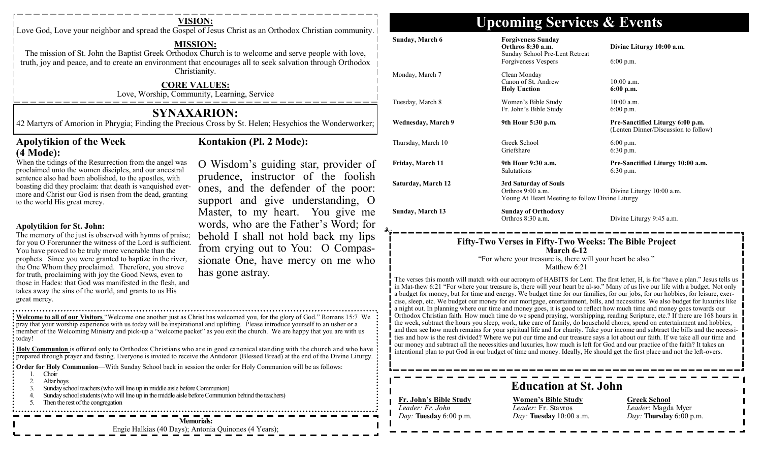Love God, Love your neighbor and spread the Gospel of Jesus Christ as an Orthodox Christian community.

### **MISSION:**

The mission of St. John the Baptist Greek Orthodox Church is to welcome and serve people with love, truth, joy and peace, and to create an environment that encourages all to seek salvation through Orthodox Christianity.

### **CORE VALUES:**

Love, Worship, Community, Learning, Service

## **SYNAXARION:**

42 Martyrs of Amorion in Phrygia; Finding the Precious Cross by St. Helen; Hesychios the Wonderworker;

## **Apolytikion of the Week (4 Mode):**

## **Kontakion (Pl. 2 Mode):**

When the tidings of the Resurrection from the angel was proclaimed unto the women disciples, and our ancestral sentence also had been abolished, to the apostles, with boasting did they proclaim: that death is vanquished evermore and Christ our God is risen from the dead, granting to the world His great mercy.

### **Apolytikion for St. John:**

The memory of the just is observed with hymns of praise; for you O Forerunner the witness of the Lord is sufficient. You have proved to be truly more venerable than the prophets. Since you were granted to baptize in the river, the One Whom they proclaimed. Therefore, you strove for truth, proclaiming with joy the Good News, even to those in Hades: that God was manifested in the flesh, and takes away the sins of the world, and grants to us His great mercy.

prudence, instructor of the foolish ones, and the defender of the poor: support and give understanding, O Master, to my heart. You give me words, who are the Father's Word; for behold I shall not hold back my lips from crying out to You: O Compassionate One, have mercy on me who has gone astray.

O Wisdom's guiding star, provider of

**Welcome to all of our Visitors** "Welcome one another just as Christ has welcomed you, for the glory of God." Romans 15:7 We pray that your worship experience with us today will be inspirational and uplifting. Please introduce yourself to an usher or a member of the Welcoming Ministry and pick-up a "welcome packet" as you exit the church. We are happy that you are with us : today!

**Holy Communion** is offered only to Orthodox Christians who are in good canonical standing with the church and who have **prepared through prayer and fasting.** Everyone is invited to receive the Antidoron (Blessed Bread) at the end of the Divine Liturgy.

**Order for Holy Communion—With Sunday School back in session the order for Holy Communion will be as follows:** 

- 1. Choir
- 2. Altar boys
- 3. Sunday school teachers (who will line up in middle aisle before Communion)
- 4. Sunday school students (who will line up in the middle aisle before Communion behind the teachers)
- 5. Then the rest of the congregation . . . . . . . . . . . . . . . . . . . .

**Memorials:** 

Engie Halkias (40 Days); Antonia Quinones (4 Years);

## **VISION: Upcoming Services & Events**

| Sunday, March 6           | <b>Forgiveness Sunday</b><br>Orthros 8:30 a.m.<br>Sunday School Pre-Lent Retreat<br>Forgiveness Vespers                                              | Divine Liturgy 10:00 a.m.<br>$6:00$ p.m.                                                                                                                                                                                                                           |
|---------------------------|------------------------------------------------------------------------------------------------------------------------------------------------------|--------------------------------------------------------------------------------------------------------------------------------------------------------------------------------------------------------------------------------------------------------------------|
| Monday, March 7           | Clean Monday<br>Canon of St. Andrew<br><b>Holy Unction</b>                                                                                           | $10:00$ a.m.<br>$6:00$ p.m.                                                                                                                                                                                                                                        |
| Tuesday, March 8          | Women's Bible Study<br>Fr. John's Bible Study                                                                                                        | $10:00$ a.m.<br>$6:00$ p.m.                                                                                                                                                                                                                                        |
| Wednesday, March 9        | 9th Hour 5:30 p.m.                                                                                                                                   | Pre-Sanctified Liturgy 6:00 p.m.<br>(Lenten Dinner/Discussion to follow)                                                                                                                                                                                           |
| Thursday, March 10        | Greek School<br>Griefshare                                                                                                                           | $6:00$ p.m.<br>6:30 p.m.                                                                                                                                                                                                                                           |
| Friday, March 11          | 9th Hour 9:30 a.m.<br><b>Salutations</b>                                                                                                             | Pre-Sanctified Liturgy 10:00 a.m.<br>$6:30$ p.m.                                                                                                                                                                                                                   |
| <b>Saturday, March 12</b> | 3rd Saturday of Souls<br>Orthros 9:00 a.m.<br>Young At Heart Meeting to follow Divine Liturgy                                                        | Divine Liturgy 10:00 a.m.                                                                                                                                                                                                                                          |
| <b>Sunday, March 13</b>   | <b>Sunday of Orthodoxy</b><br>Orthros 8:30 a.m.                                                                                                      | Divine Liturgy 9:45 a.m.                                                                                                                                                                                                                                           |
|                           | Fifty-Two Verses in Fifty-Two Weeks: The Bible Project<br>March 6-12<br>"For where your treasure is, there will your heart be also."<br>Matthew 6:21 |                                                                                                                                                                                                                                                                    |
|                           |                                                                                                                                                      | The verses this month will match with our acronym of HABITS for Lent. The first letter, H, is for "have a plan." Jesus tells us<br>in Mat-thew 6:21 "For where your treasure is, there will your heart be al-so." Many of us live our life with a budget. Not only |

in Mat-thew 6:21 "For where your treasure is, there will your heart be al-so." Many of us live our life with a budget. Not only a budget for money, but for time and energy. We budget time for our families, for our jobs, for our hobbies, for leisure, exercise, sleep, etc. We budget our money for our mortgage, entertainment, bills, and necessities. We also budget for luxuries like a night out. In planning where our time and money goes, it is good to reflect how much time and money goes towards our Orthodox Christian faith. How much time do we spend praying, worshipping, reading Scripture, etc.? If there are 168 hours in the week, subtract the hours you sleep, work, take care of family, do household chores, spend on entertainment and hobbies, and then see how much remains for your spiritual life and for charity. Take your income and subtract the bills and the necessities and how is the rest divided? Where we put our time and our treasure says a lot about our faith. If we take all our time and our money and subtract all the necessities and luxuries, how much is left for God and our practice of the faith? It takes an intentional plan to put God in our budget of time and money. Ideally, He should get the first place and not the left-overs.

## **Education at St. John**

### **Fr. John's Bible Study** *Leader: Fr. John Day:* **Tuesday** 6:00 p.m.

**Women's Bible Study** *Leader:* Fr. Stavros *Day:* **Tuesday** 10:00 a.m.

**Greek School** *Leader*: Magda Myer *Day:* **Thursday** 6:00 p.m.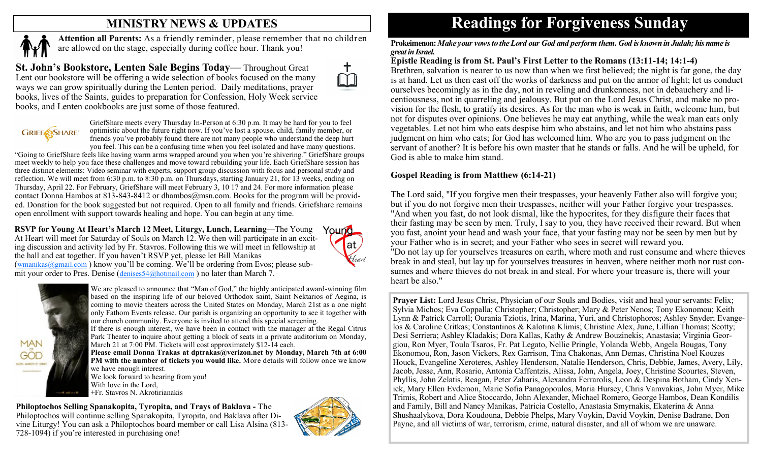## **MINISTRY NEWS & UPDATES**



**Attention all Parents:** As a friendly reminder, please remember that no children are allowed on the stage, especially during coffee hour. Thank you!

**St. John's Bookstore, Lenten Sale Begins Today**— Throughout Great Lent our bookstore will be offering a wide selection of books focused on the many ways we can grow spiritually during the Lenten period. Daily meditations, prayer books, lives of the Saints, guides to preparation for Confession, Holy Week service books, and Lenten cookbooks are just some of those featured.



GriefShare meets every Thursday In-Person at 6:30 p.m. It may be hard for you to feel optimistic about the future right now. If you've lost a spouse, child, family member, or friends you've probably found there are not many people who understand the deep hurt you feel. This can be a confusing time when you feel isolated and have many questions.

"Going to GriefShare feels like having warm arms wrapped around you when you're shivering." GriefShare groups meet weekly to help you face these challenges and move toward rebuilding your life. Each GriefShare session has three distinct elements: Video seminar with experts, support group discussion with focus and personal study and reflection. We will meet from 6:30 p.m. to 8:30 p.m. on Thursdays, starting January 21, for 13 weeks, ending on Thursday, April 22. For February, GriefShare will meet February 3, 10 17 and 24. For more information please contact Donna Hambos at 813-843-8412 or dhambos@msn.com. Books for the program will be provided. Donation for the book suggested but not required. Open to all family and friends. Griefshare remains open enrollment with support towards healing and hope. You can begin at any time.

**RSVP for Young At Heart's March 12 Meet, Liturgy, Lunch, Learning—**The Young Yound At Heart will meet for Saturday of Souls on March 12. We then will participate in an exciting discussion and activity led by Fr. Stavros. Following this we will meet in fellowship at the hall and eat together. If you haven't RSVP yet, please let Bill Manikas  $(wmanikas@ganail.com)$  know you'll be coming. We'll be ordering from Evos; please submit your order to Pres. Denise ([denises54@hotmail.com](mailto:denises54@hotmail.com)) no later than March 7.



We are pleased to announce that "Man of God," the highly anticipated award-winning film based on the inspiring life of our beloved Orthodox saint, Saint Nektarios of Aegina, is coming to movie theaters across the United States on Monday, March 21st as a one night only Fathom Events release. Our parish is organizing an opportunity to see it together with our church community. Everyone is invited to attend this special screening. If there is enough interest, we have been in contact with the manager at the Regal Citrus Park Theater to inquire about getting a block of seats in a private auditorium on Monday, March 21 at 7:00 PM. Tickets will cost approximately \$12-14 each.

**Please email Donna Trakas at dptrakas@verizon.net by Monday, March 7th at 6:00 PM with the number of tickets you would like.** More details will follow once we know we have enough interest.

We look forward to hearing from you! With love in the Lord, +Fr. Stavros N. Akrotirianakis

## **Philoptochos Selling Spanakopita, Tyropita, and Trays of Baklava -** The

Philoptochos will continue selling Spanakopita, Tyropita, and Baklava after Divine Liturgy! You can ask a Philoptochos board member or call Lisa Alsina (813- 728-1094) if you're interested in purchasing one!



at,

leart

## **Readings for Forgiveness Sunday**

**Prokeimenon:** *Make your vows to the Lord our God and perform them. God is known in Judah; his name is great in Israel.* 

## **Epistle Reading is from St. Paul's First Letter to the Romans (13:11-14; 14:1-4)**

Brethren, salvation is nearer to us now than when we first believed; the night is far gone, the day is at hand. Let us then cast off the works of darkness and put on the armor of light; let us conduct ourselves becomingly as in the day, not in reveling and drunkenness, not in debauchery and licentiousness, not in quarreling and jealousy. But put on the Lord Jesus Christ, and make no provision for the flesh, to gratify its desires. As for the man who is weak in faith, welcome him, but not for disputes over opinions. One believes he may eat anything, while the weak man eats only vegetables. Let not him who eats despise him who abstains, and let not him who abstains pass judgment on him who eats; for God has welcomed him. Who are you to pass judgment on the servant of another? It is before his own master that he stands or falls. And he will be upheld, for God is able to make him stand.

## **Gospel Reading is from Matthew (6:14-21)**

The Lord said, "If you forgive men their trespasses, your heavenly Father also will forgive you; but if you do not forgive men their trespasses, neither will your Father forgive your trespasses. "And when you fast, do not look dismal, like the hypocrites, for they disfigure their faces that their fasting may be seen by men. Truly, I say to you, they have received their reward. But when you fast, anoint your head and wash your face, that your fasting may not be seen by men but by your Father who is in secret; and your Father who sees in secret will reward you. "Do not lay up for yourselves treasures on earth, where moth and rust consume and where thieves break in and steal, but lay up for yourselves treasures in heaven, where neither moth nor rust consumes and where thieves do not break in and steal. For where your treasure is, there will your heart be also."

**Prayer List:** Lord Jesus Christ, Physician of our Souls and Bodies, visit and heal your servants: Felix; Sylvia Michos; Eva Coppalla; Christopher; Christopher; Mary & Peter Nenos; Tony Ekonomou; Keith Lynn & Patrick Carroll; Ourania Tziotis, Irina, Marina, Yuri, and Christophoros; Ashley Snyder; Evangelos & Caroline Critkas; Constantinos & Kalotina Klimis; Christine Alex, June, Lillian Thomas; Scotty; Desi Serriera; Ashley Kladakis; Dora Kallas, Kathy & Andrew Bouzinekis; Anastasia; Virginia Georgiou, Ron Myer, Toula Tsaros, Fr. Pat Legato, Nellie Pringle, Yolanda Webb, Angela Bougas, Tony Ekonomou, Ron, Jason Vickers, Rex Garrison, Tina Chakonas, Ann Demas, Christina Noel Kouzes Houck, Evangeline Xeroteres, Ashley Henderson, Natalie Henderson, Chris, Debbie, James, Avery, Lily, Jacob, Jesse, Ann, Rosario, Antonia Caffentzis, Alissa, John, Angela, Joey, Christine Scourtes, Steven, Phyllis, John Zelatis, Reagan, Peter Zaharis, Alexandra Ferrarolis, Leon & Despina Botham, Cindy Xenick, Mary Ellen Evdemon, Marie Sofia Panagopoulos, Maria Hursey, Chris Vamvakias, John Myer, Mike Trimis, Robert and Alice Stoccardo, John Alexander, Michael Romero, George Hambos, Dean Kondilis and Family, Bill and Nancy Manikas, Patricia Costello, Anastasia Smyrnakis, Ekaterina & Anna Shushaalykova, Dora Koudouna, Debbie Phelps, Mary Voykin, David Voykin, Denise Badrane, Don Payne, and all victims of war, terrorism, crime, natural disaster, and all of whom we are unaware.